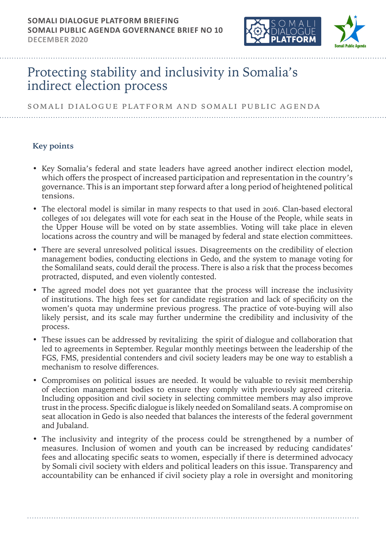

# Protecting stability and inclusivity in Somalia's indirect election process

SOMALI DIALOGUE PLATFORM and somali public agenda

# **Key points**

- Key Somalia's federal and state leaders have agreed another indirect election model, which offers the prospect of increased participation and representation in the country's governance. This is an important step forward after a long period of heightened political tensions.
- The electoral model is similar in many respects to that used in 2016. Clan-based electoral colleges of 101 delegates will vote for each seat in the House of the People, while seats in the Upper House will be voted on by state assemblies. Voting will take place in eleven locations across the country and will be managed by federal and state election committees.
- There are several unresolved political issues. Disagreements on the credibility of election management bodies, conducting elections in Gedo, and the system to manage voting for the Somaliland seats, could derail the process. There is also a risk that the process becomes protracted, disputed, and even violently contested.
- The agreed model does not yet guarantee that the process will increase the inclusivity of institutions. The high fees set for candidate registration and lack of specificity on the women's quota may undermine previous progress. The practice of vote-buying will also likely persist, and its scale may further undermine the credibility and inclusivity of the process.
- These issues can be addressed by revitalizing the spirit of dialogue and collaboration that led to agreements in September. Regular monthly meetings between the leadership of the FGS, FMS, presidential contenders and civil society leaders may be one way to establish a mechanism to resolve differences.
- Compromises on political issues are needed. It would be valuable to revisit membership of election management bodies to ensure they comply with previously agreed criteria. Including opposition and civil society in selecting committee members may also improve trust in the process. Specific dialogue is likely needed on Somaliland seats. A compromise on seat allocation in Gedo is also needed that balances the interests of the federal government and Jubaland.
- The inclusivity and integrity of the process could be strengthened by a number of measures. Inclusion of women and youth can be increased by reducing candidates' fees and allocating specific seats to women, especially if there is determined advocacy by Somali civil society with elders and political leaders on this issue. Transparency and accountability can be enhanced if civil society play a role in oversight and monitoring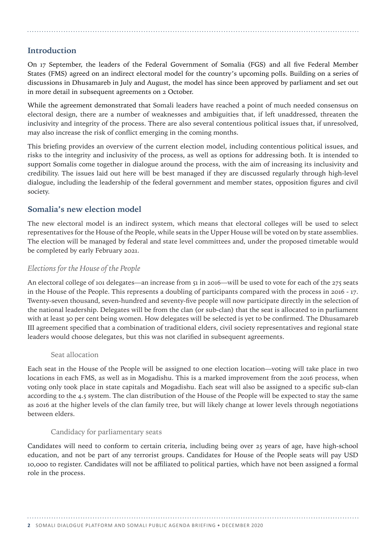# **Introduction**

On 17 September, the leaders of the Federal Government of Somalia (FGS) and all five Federal Member States (FMS) agreed on an indirect electoral model for the country's upcoming polls. Building on a series of discussions in Dhusamareb in July and August, the model has since been approved by parliament and set out in more detail in subsequent agreements on 2 October.

While the agreement demonstrated that Somali leaders have reached a point of much needed consensus on electoral design, there are a number of weaknesses and ambiguities that, if left unaddressed, threaten the inclusivity and integrity of the process. There are also several contentious political issues that, if unresolved, may also increase the risk of conflict emerging in the coming months.

This briefing provides an overview of the current election model, including contentious political issues, and risks to the integrity and inclusivity of the process, as well as options for addressing both. It is intended to support Somalis come together in dialogue around the process, with the aim of increasing its inclusivity and credibility. The issues laid out here will be best managed if they are discussed regularly through high-level dialogue, including the leadership of the federal government and member states, opposition figures and civil society.

# **Somalia's new election model**

The new electoral model is an indirect system, which means that electoral colleges will be used to select representatives for the House of the People, while seats in the Upper House will be voted on by state assemblies. The election will be managed by federal and state level committees and, under the proposed timetable would be completed by early February 2021.

## *Elections for the House of the People*

An electoral college of 101 delegates—an increase from 51 in 2016—will be used to vote for each of the 275 seats in the House of the People. This represents a doubling of participants compared with the process in 2016 - 17. Twenty-seven thousand, seven-hundred and seventy-five people will now participate directly in the selection of the national leadership. Delegates will be from the clan (or sub-clan) that the seat is allocated to in parliament with at least 30 per cent being women. How delegates will be selected is yet to be confirmed. The Dhusamareb III agreement specified that a combination of traditional elders, civil society representatives and regional state leaders would choose delegates, but this was not clarified in subsequent agreements.

#### Seat allocation

Each seat in the House of the People will be assigned to one election location—voting will take place in two locations in each FMS, as well as in Mogadishu. This is a marked improvement from the 2016 process, when voting only took place in state capitals and Mogadishu. Each seat will also be assigned to a specific sub-clan according to the 4.5 system. The clan distribution of the House of the People will be expected to stay the same as 2016 at the higher levels of the clan family tree, but will likely change at lower levels through negotiations between elders.

#### Candidacy for parliamentary seats

Candidates will need to conform to certain criteria, including being over 25 years of age, have high-school education, and not be part of any terrorist groups. Candidates for House of the People seats will pay USD 10,000 to register. Candidates will not be affiliated to political parties, which have not been assigned a formal role in the process.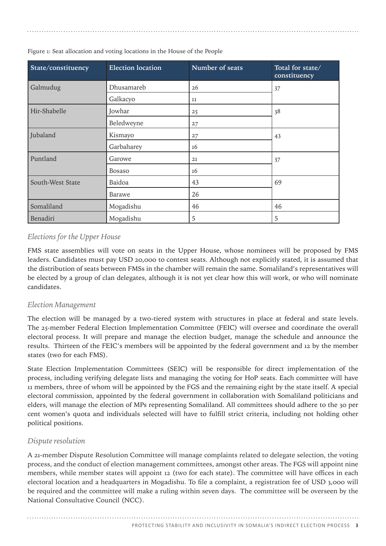| State/constituency | <b>Election location</b> | Number of seats | Total for state/<br>constituency |
|--------------------|--------------------------|-----------------|----------------------------------|
| Galmudug           | Dhusamareb               | 26              | 37                               |
|                    | Galkacyo                 | 11              |                                  |
| Hir-Shabelle       | Jowhar                   | 25              | 38                               |
|                    | Beledweyne               | 27              |                                  |
| Jubaland           | Kismayo                  | 27              | 43                               |
|                    | Garbaharey               | 16              |                                  |
| Puntland           | Garowe                   | 21              | 37                               |
|                    | Bosaso                   | 16              |                                  |
| South-West State   | Baidoa                   | 43              | 69                               |
|                    | Barawe                   | 26              |                                  |
| Somaliland         | Mogadishu                | 46              | 46                               |
| Benadiri           | Mogadishu                | 5               | 5                                |

Figure 1: Seat allocation and voting locations in the House of the People

# *Elections for the Upper House*

FMS state assemblies will vote on seats in the Upper House, whose nominees will be proposed by FMS leaders. Candidates must pay USD 20,000 to contest seats. Although not explicitly stated, it is assumed that the distribution of seats between FMSs in the chamber will remain the same. Somaliland's representatives will be elected by a group of clan delegates, although it is not yet clear how this will work, or who will nominate candidates.

## *Election Management*

The election will be managed by a two-tiered system with structures in place at federal and state levels. The 25-member Federal Election Implementation Committee (FEIC) will oversee and coordinate the overall electoral process. It will prepare and manage the election budget, manage the schedule and announce the results. Thirteen of the FEIC's members will be appointed by the federal government and 12 by the member states (two for each FMS).

State Election Implementation Committees (SEIC) will be responsible for direct implementation of the process, including verifying delegate lists and managing the voting for HoP seats. Each committee will have 11 members, three of whom will be appointed by the FGS and the remaining eight by the state itself. A special electoral commission, appointed by the federal government in collaboration with Somaliland politicians and elders, will manage the election of MPs representing Somaliland. All committees should adhere to the 30 per cent women's quota and individuals selected will have to fulfill strict criteria, including not holding other political positions.

## *Dispute resolution*

A 21-member Dispute Resolution Committee will manage complaints related to delegate selection, the voting process, and the conduct of election management committees, amongst other areas. The FGS will appoint nine members, while member states will appoint 12 (two for each state). The committee will have offices in each electoral location and a headquarters in Mogadishu. To file a complaint, a registration fee of USD 3,000 will be required and the committee will make a ruling within seven days. The committee will be overseen by the National Consultative Council (NCC).

PROTECTING STABILITY AND INCLUSIVITY IN SOMALIA'S INDIRECT ELECTION PROCESS **3**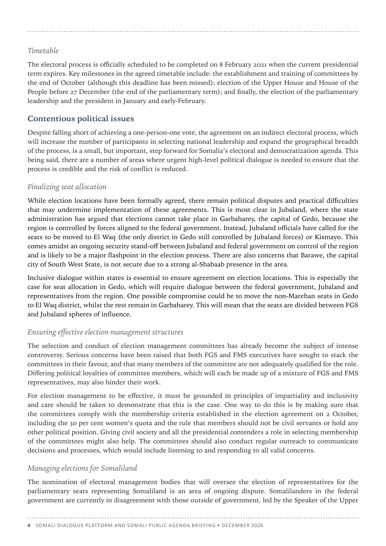# *Timetable*

The electoral process is officially scheduled to be completed on 8 February 2021 when the current presidential term expires. Key milestones in the agreed timetable include: the establishment and training of committees by the end of October (although this deadline has been missed); election of the Upper House and House of the People before 27 December (the end of the parliamentary term); and finally, the election of the parliamentary leadership and the president in January and early-February.

# **Contentious political issues**

Despite falling short of achieving a one-person-one vote, the agreement on an indirect electoral process, which will increase the number of participants in selecting national leadership and expand the geographical breadth of the process, is a small, but important, step forward for Somalia's electoral and democratization agenda. This being said, there are a number of areas where urgent high-level political dialogue is needed to ensure that the process is credible and the risk of conflict is reduced.

## *Finalizing seat allocation*

While election locations have been formally agreed, there remain political disputes and practical difficulties that may undermine implementation of these agreements. This is most clear in Jubaland, where the state administration has argued that elections cannot take place in Garbaharey, the capital of Gedo, because the region is controlled by forces aligned to the federal government. Instead, Jubaland officials have called for the seats to be moved to El Waq (the only district in Gedo still controlled by Jubaland forces) or Kismayo. This comes amidst an ongoing security stand-off between Jubaland and federal government on control of the region and is likely to be a major flashpoint in the election process. There are also concerns that Barawe, the capital city of South West State, is not secure due to a strong al-Shabaab presence in the area.

Inclusive dialogue within states is essential to ensure agreement on election locations. This is especially the case for seat allocation in Gedo, which will require dialogue between the federal government, Jubaland and representatives from the region. One possible compromise could be to move the non-Marehan seats in Gedo to El Waq district, whilst the rest remain in Garbaharey. This will mean that the seats are divided between FGS and Jubaland spheres of influence.

## *Ensuring effective election management structures*

The selection and conduct of election management committees has already become the subject of intense controversy. Serious concerns have been raised that both FGS and FMS executives have sought to stack the committees in their favour, and that many members of the committee are not adequately qualified for the role. Differing political loyalties of committee members, which will each be made up of a mixture of FGS and FMS representatives, may also hinder their work.

For election management to be effective, it must be grounded in principles of impartiality and inclusivity and care should be taken to demonstrate that this is the case. One way to do this is by making sure that the committees comply with the membership criteria established in the election agreement on 2 October, including the 30 per cent women's quota and the rule that members should not be civil servants or hold any other political position. Giving civil society and all the presidential contenders a role in selecting membership of the committees might also help. The committees should also conduct regular outreach to communicate decisions and processes, which would include listening to and responding to all valid concerns.

# *Managing elections for Somaliland*

The nomination of electoral management bodies that will oversee the election of representatives for the parliamentary seats representing Somaliland is an area of ongoing dispute. Somalilanders in the federal government are currently in disagreement with those outside of government, led by the Speaker of the Upper

**4** SOMALI DIALOGUE PLATFORM AND SOMALI PUBLIC AGENDA BRIEFING • DECEMBER 2020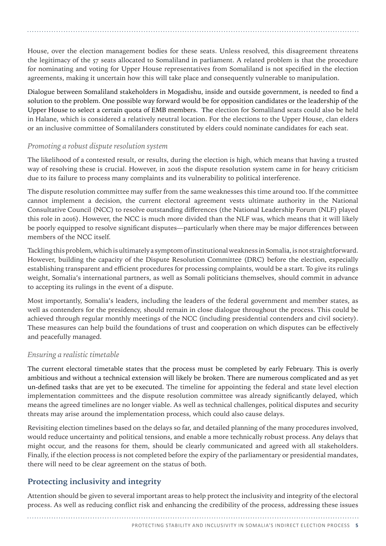House, over the election management bodies for these seats. Unless resolved, this disagreement threatens the legitimacy of the 57 seats allocated to Somaliland in parliament. A related problem is that the procedure for nominating and voting for Upper House representatives from Somaliland is not specified in the election agreements, making it uncertain how this will take place and consequently vulnerable to manipulation.

Dialogue between Somaliland stakeholders in Mogadishu, inside and outside government, is needed to find a solution to the problem. One possible way forward would be for opposition candidates or the leadership of the Upper House to select a certain quota of EMB members. The election for Somaliland seats could also be held in Halane, which is considered a relatively neutral location. For the elections to the Upper House, clan elders or an inclusive committee of Somalilanders constituted by elders could nominate candidates for each seat.

#### *Promoting a robust dispute resolution system*

The likelihood of a contested result, or results, during the election is high, which means that having a trusted way of resolving these is crucial. However, in 2016 the dispute resolution system came in for heavy criticism due to its failure to process many complaints and its vulnerability to political interference.

The dispute resolution committee may suffer from the same weaknesses this time around too. If the committee cannot implement a decision, the current electoral agreement vests ultimate authority in the National Consultative Council (NCC) to resolve outstanding differences (the National Leadership Forum (NLF) played this role in 2016). However, the NCC is much more divided than the NLF was, which means that it will likely be poorly equipped to resolve significant disputes—particularly when there may be major differences between members of the NCC itself.

Tackling this problem, which is ultimately a symptom of institutional weakness in Somalia, is not straightforward. However, building the capacity of the Dispute Resolution Committee (DRC) before the election, especially establishing transparent and efficient procedures for processing complaints, would be a start. To give its rulings weight, Somalia's international partners, as well as Somali politicians themselves, should commit in advance to accepting its rulings in the event of a dispute.

Most importantly, Somalia's leaders, including the leaders of the federal government and member states, as well as contenders for the presidency, should remain in close dialogue throughout the process. This could be achieved through regular monthly meetings of the NCC (including presidential contenders and civil society). These measures can help build the foundations of trust and cooperation on which disputes can be effectively and peacefully managed.

## *Ensuring a realistic timetable*

The current electoral timetable states that the process must be completed by early February. This is overly ambitious and without a technical extension will likely be broken. There are numerous complicated and as yet un-defined tasks that are yet to be executed. The timeline for appointing the federal and state level election implementation committees and the dispute resolution committee was already significantly delayed, which means the agreed timelines are no longer viable. As well as technical challenges, political disputes and security threats may arise around the implementation process, which could also cause delays.

Revisiting election timelines based on the delays so far, and detailed planning of the many procedures involved, would reduce uncertainty and political tensions, and enable a more technically robust process. Any delays that might occur, and the reasons for them, should be clearly communicated and agreed with all stakeholders. Finally, if the election process is not completed before the expiry of the parliamentary or presidential mandates, there will need to be clear agreement on the status of both.

# **Protecting inclusivity and integrity**

Attention should be given to several important areas to help protect the inclusivity and integrity of the electoral process. As well as reducing conflict risk and enhancing the credibility of the process, addressing these issues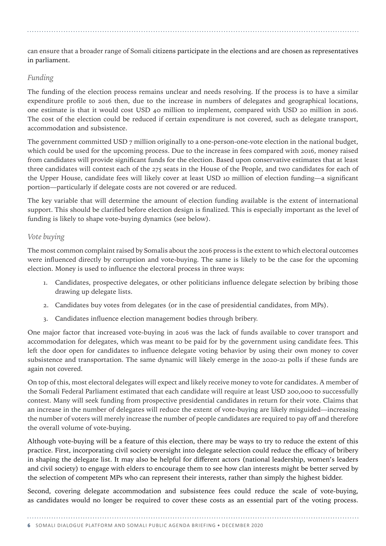can ensure that a broader range of Somali citizens participate in the elections and are chosen as representatives in parliament.

#### *Funding*

The funding of the election process remains unclear and needs resolving. If the process is to have a similar expenditure profile to 2016 then, due to the increase in numbers of delegates and geographical locations, one estimate is that it would cost USD 40 million to implement, compared with USD 20 million in 2016. The cost of the election could be reduced if certain expenditure is not covered, such as delegate transport, accommodation and subsistence.

The government committed USD 7 million originally to a one-person-one-vote election in the national budget, which could be used for the upcoming process. Due to the increase in fees compared with 2016, money raised from candidates will provide significant funds for the election. Based upon conservative estimates that at least three candidates will contest each of the 275 seats in the House of the People, and two candidates for each of the Upper House, candidate fees will likely cover at least USD 10 million of election funding—a significant portion—particularly if delegate costs are not covered or are reduced.

The key variable that will determine the amount of election funding available is the extent of international support. This should be clarified before election design is finalized. This is especially important as the level of funding is likely to shape vote-buying dynamics (see below).

# *Vote buying*

The most common complaint raised by Somalis about the 2016 process is the extent to which electoral outcomes were influenced directly by corruption and vote-buying. The same is likely to be the case for the upcoming election. Money is used to influence the electoral process in three ways:

- 1. Candidates, prospective delegates, or other politicians influence delegate selection by bribing those drawing up delegate lists.
- 2. Candidates buy votes from delegates (or in the case of presidential candidates, from MPs).
- 3. Candidates influence election management bodies through bribery.

One major factor that increased vote-buying in 2016 was the lack of funds available to cover transport and accommodation for delegates, which was meant to be paid for by the government using candidate fees. This left the door open for candidates to influence delegate voting behavior by using their own money to cover subsistence and transportation. The same dynamic will likely emerge in the 2020-21 polls if these funds are again not covered.

On top of this, most electoral delegates will expect and likely receive money to vote for candidates. A member of the Somali Federal Parliament estimated that each candidate will require at least USD 200,000 to successfully contest. Many will seek funding from prospective presidential candidates in return for their vote. Claims that an increase in the number of delegates will reduce the extent of vote-buying are likely misguided—increasing the number of voters will merely increase the number of people candidates are required to pay off and therefore the overall volume of vote-buying.

Although vote-buying will be a feature of this election, there may be ways to try to reduce the extent of this practice. First, incorporating civil society oversight into delegate selection could reduce the efficacy of bribery in shaping the delegate list. It may also be helpful for different actors (national leadership, women's leaders and civil society) to engage with elders to encourage them to see how clan interests might be better served by the selection of competent MPs who can represent their interests, rather than simply the highest bidder.

Second, covering delegate accommodation and subsistence fees could reduce the scale of vote-buying, as candidates would no longer be required to cover these costs as an essential part of the voting process.

# **6** SOMALI DIALOGUE PLATFORM AND SOMALI PUBLIC AGENDA BRIEFING • DECEMBER 2020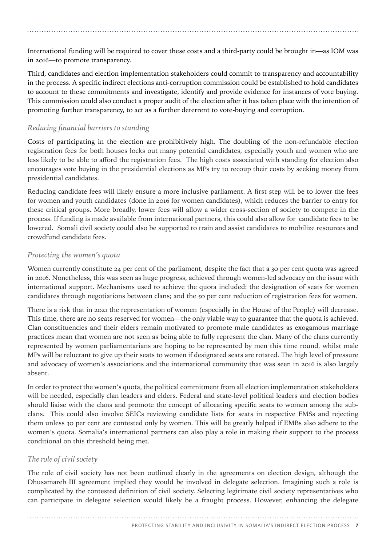International funding will be required to cover these costs and a third-party could be brought in—as IOM was in 2016—to promote transparency.

Third, candidates and election implementation stakeholders could commit to transparency and accountability in the process. A specific indirect elections anti-corruption commission could be established to hold candidates to account to these commitments and investigate, identify and provide evidence for instances of vote buying. This commission could also conduct a proper audit of the election after it has taken place with the intention of promoting further transparency, to act as a further deterrent to vote-buying and corruption.

# *Reducing financial barriers to standing*

Costs of participating in the election are prohibitively high. The doubling of the non-refundable election registration fees for both houses locks out many potential candidates, especially youth and women who are less likely to be able to afford the registration fees. The high costs associated with standing for election also encourages vote buying in the presidential elections as MPs try to recoup their costs by seeking money from presidential candidates.

Reducing candidate fees will likely ensure a more inclusive parliament. A first step will be to lower the fees for women and youth candidates (done in 2016 for women candidates), which reduces the barrier to entry for these critical groups. More broadly, lower fees will allow a wider cross-section of society to compete in the process. If funding is made available from international partners, this could also allow for candidate fees to be lowered. Somali civil society could also be supported to train and assist candidates to mobilize resources and crowdfund candidate fees.

# *Protecting the women's quota*

Women currently constitute 24 per cent of the parliament, despite the fact that a 30 per cent quota was agreed in 2016. Nonetheless, this was seen as huge progress, achieved through women-led advocacy on the issue with international support. Mechanisms used to achieve the quota included: the designation of seats for women candidates through negotiations between clans; and the 50 per cent reduction of registration fees for women.

There is a risk that in 2021 the representation of women (especially in the House of the People) will decrease. This time, there are no seats reserved for women—the only viable way to guarantee that the quota is achieved. Clan constituencies and their elders remain motivated to promote male candidates as exogamous marriage practices mean that women are not seen as being able to fully represent the clan. Many of the clans currently represented by women parliamentarians are hoping to be represented by men this time round, whilst male MPs will be reluctant to give up their seats to women if designated seats are rotated. The high level of pressure and advocacy of women's associations and the international community that was seen in 2016 is also largely absent.

In order to protect the women's quota, the political commitment from all election implementation stakeholders will be needed, especially clan leaders and elders. Federal and state-level political leaders and election bodies should liaise with the clans and promote the concept of allocating specific seats to women among the subclans. This could also involve SEICs reviewing candidate lists for seats in respective FMSs and rejecting them unless 30 per cent are contested only by women. This will be greatly helped if EMBs also adhere to the women's quota. Somalia's international partners can also play a role in making their support to the process conditional on this threshold being met.

# *The role of civil society*

The role of civil society has not been outlined clearly in the agreements on election design, although the Dhusamareb III agreement implied they would be involved in delegate selection. Imagining such a role is complicated by the contested definition of civil society. Selecting legitimate civil society representatives who can participate in delegate selection would likely be a fraught process. However, enhancing the delegate